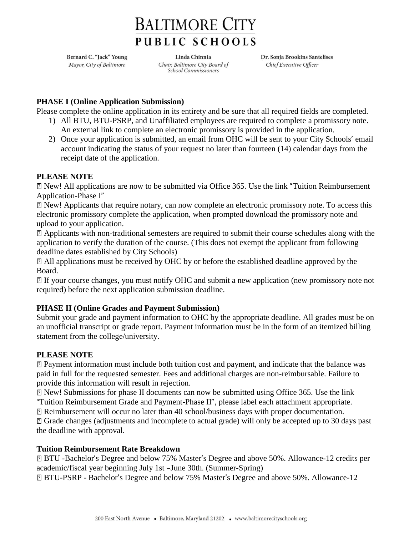# **BALTIMORE CITY** PUBLIC SCHOOLS

Bernard C. "Jack" Young Mayor, City of Baltimore

Linda Chinnia Chair, Baltimore City Board of **School Commissioners** 

Dr. Sonja Brookins Santelises Chief Executive Officer

## **PHASE I (Online Application Submission)**

Please complete the online application in its entirety and be sure that all required fields are completed.

- 1) All BTU, BTU-PSRP, and Unaffiliated employees are required to complete a promissory note. An external link to complete an electronic promissory is provided in the application.
- 2) Once your application is submitted, an email from OHC will be sent to your City Schools' email account indicating the status of your request no later than fourteen (14) calendar days from the receipt date of the application.

## **PLEASE NOTE**

New! All applications are now to be submitted via Office 365. Use the link "Tuition Reimbursement Application-Phase I"

New! Applicants that require notary, can now complete an electronic promissory note. To access this electronic promissory complete the application, when prompted download the promissory note and upload to your application.

Applicants with non-traditional semesters are required to submit their course schedules along with the application to verify the duration of the course. (This does not exempt the applicant from following deadline dates established by City Schools)

All applications must be received by OHC by or before the established deadline approved by the Board.

If your course changes, you must notify OHC and submit a new application (new promissory note not required) before the next application submission deadline.

# **PHASE II (Online Grades and Payment Submission)**

Submit your grade and payment information to OHC by the appropriate deadline. All grades must be on an unofficial transcript or grade report. Payment information must be in the form of an itemized billing statement from the college/university.

## **PLEASE NOTE**

Payment information must include both tuition cost and payment, and indicate that the balance was paid in full for the requested semester. Fees and additional charges are non-reimbursable. Failure to provide this information will result in rejection.

New! Submissions for phase II documents can now be submitted using Office 365. Use the link "Tuition Reimbursement Grade and Payment-Phase II", please label each attachment appropriate.

Reimbursement will occur no later than 40 school/business days with proper documentation.

Grade changes (adjustments and incomplete to actual grade) will only be accepted up to 30 days past the deadline with approval.

## **Tuition Reimbursement Rate Breakdown**

BTU -Bachelor's Degree and below 75% Master's Degree and above 50%. Allowance-12 credits per academic/fiscal year beginning July 1st –June 30th. (Summer-Spring)

BTU-PSRP - Bachelor's Degree and below 75% Master's Degree and above 50%. Allowance-12